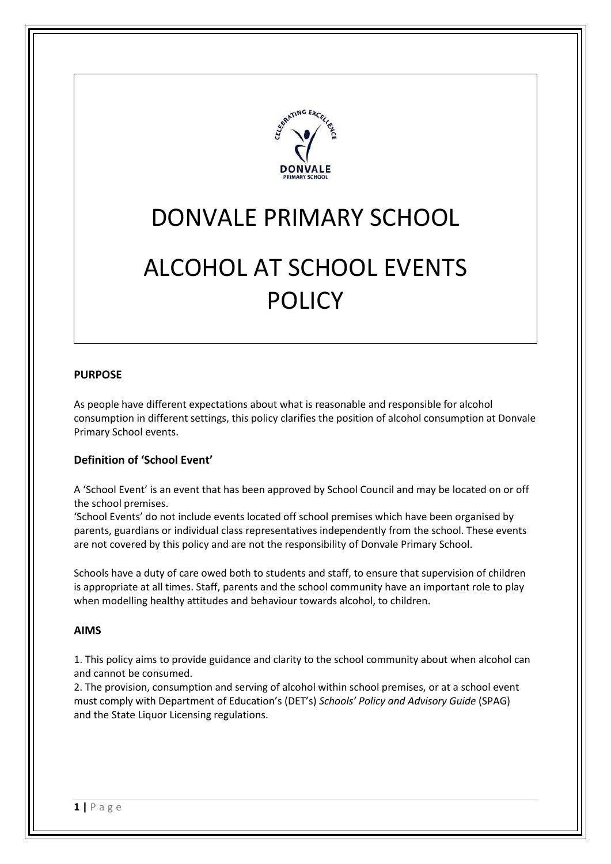

# DONVALE PRIMARY SCHOOL

# ALCOHOL AT SCHOOL EVENTS POLICY

#### **PURPOSE**

As people have different expectations about what is reasonable and responsible for alcohol consumption in different settings, this policy clarifies the position of alcohol consumption at Donvale Primary School events.

#### **Definition of 'School Event'**

A 'School Event' is an event that has been approved by School Council and may be located on or off the school premises.

'School Events' do not include events located off school premises which have been organised by parents, guardians or individual class representatives independently from the school. These events are not covered by this policy and are not the responsibility of Donvale Primary School.

Schools have a duty of care owed both to students and staff, to ensure that supervision of children is appropriate at all times. Staff, parents and the school community have an important role to play when modelling healthy attitudes and behaviour towards alcohol, to children.

#### **AIMS**

1. This policy aims to provide guidance and clarity to the school community about when alcohol can and cannot be consumed.

2. The provision, consumption and serving of alcohol within school premises, or at a school event must comply with Department of Education's (DET's) *Schools' Policy and Advisory Guide* (SPAG) and the State Liquor Licensing regulations.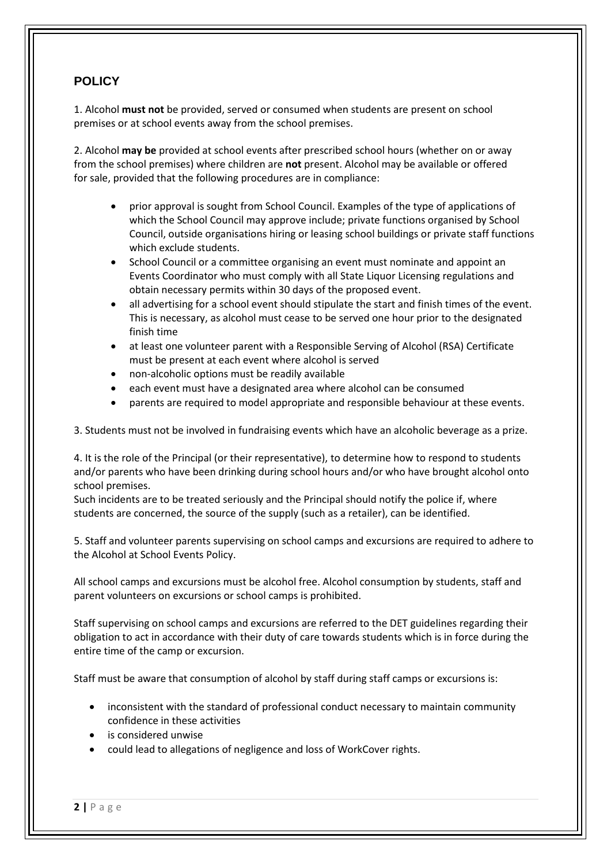## **POLICY**

1. Alcohol **must not** be provided, served or consumed when students are present on school premises or at school events away from the school premises.

2. Alcohol **may be** provided at school events after prescribed school hours (whether on or away from the school premises) where children are **not** present. Alcohol may be available or offered for sale, provided that the following procedures are in compliance:

- prior approval is sought from School Council. Examples of the type of applications of which the School Council may approve include; private functions organised by School Council, outside organisations hiring or leasing school buildings or private staff functions which exclude students.
- School Council or a committee organising an event must nominate and appoint an Events Coordinator who must comply with all State Liquor Licensing regulations and obtain necessary permits within 30 days of the proposed event.
- all advertising for a school event should stipulate the start and finish times of the event. This is necessary, as alcohol must cease to be served one hour prior to the designated finish time
- at least one volunteer parent with a Responsible Serving of Alcohol (RSA) Certificate must be present at each event where alcohol is served
- non-alcoholic options must be readily available
- each event must have a designated area where alcohol can be consumed
- parents are required to model appropriate and responsible behaviour at these events.

3. Students must not be involved in fundraising events which have an alcoholic beverage as a prize.

4. It is the role of the Principal (or their representative), to determine how to respond to students and/or parents who have been drinking during school hours and/or who have brought alcohol onto school premises.

Such incidents are to be treated seriously and the Principal should notify the police if, where students are concerned, the source of the supply (such as a retailer), can be identified.

5. Staff and volunteer parents supervising on school camps and excursions are required to adhere to the Alcohol at School Events Policy.

All school camps and excursions must be alcohol free. Alcohol consumption by students, staff and parent volunteers on excursions or school camps is prohibited.

Staff supervising on school camps and excursions are referred to the DET guidelines regarding their obligation to act in accordance with their duty of care towards students which is in force during the entire time of the camp or excursion.

Staff must be aware that consumption of alcohol by staff during staff camps or excursions is:

- inconsistent with the standard of professional conduct necessary to maintain community confidence in these activities
- is considered unwise
- could lead to allegations of negligence and loss of WorkCover rights.